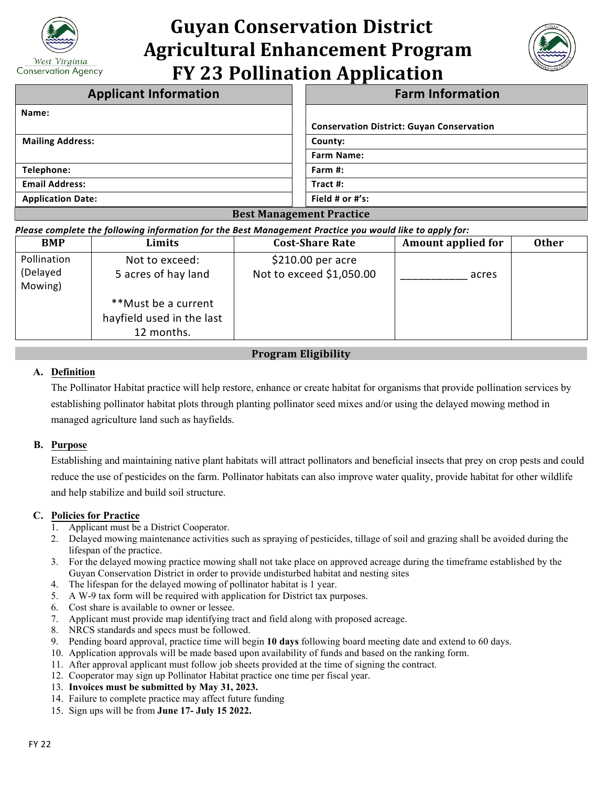

# **Guyan Conservation District Agricultural Enhancement Program FY 23 Pollination Application**



| <b>Applicant Information</b>    | <b>Farm Information</b>                          |  |  |  |
|---------------------------------|--------------------------------------------------|--|--|--|
| Name:                           |                                                  |  |  |  |
|                                 | <b>Conservation District: Guyan Conservation</b> |  |  |  |
| <b>Mailing Address:</b>         | County:                                          |  |  |  |
|                                 | <b>Farm Name:</b>                                |  |  |  |
| Telephone:                      | Farm $#$ :                                       |  |  |  |
| <b>Email Address:</b>           | Tract #:                                         |  |  |  |
| <b>Application Date:</b>        | Field # or $#$ 's:                               |  |  |  |
| <b>Best Management Practice</b> |                                                  |  |  |  |

#### *Please complete the following information for the Best Management Practice you would like to apply for:*

| <b>BMP</b>                         | Limits                                                         | <b>Cost-Share Rate</b>                         | <b>Amount applied for</b> | <b>Other</b> |
|------------------------------------|----------------------------------------------------------------|------------------------------------------------|---------------------------|--------------|
| Pollination<br>(Delayed<br>Mowing) | Not to exceed:<br>5 acres of hay land                          | $$210.00$ per acre<br>Not to exceed \$1,050.00 | acres                     |              |
|                                    | **Must be a current<br>hayfield used in the last<br>12 months. |                                                |                           |              |

### **Program Eligibility**

#### **A. Definition**

The Pollinator Habitat practice will help restore, enhance or create habitat for organisms that provide pollination services by establishing pollinator habitat plots through planting pollinator seed mixes and/or using the delayed mowing method in managed agriculture land such as hayfields.

#### **B. Purpose**

Establishing and maintaining native plant habitats will attract pollinators and beneficial insects that prey on crop pests and could reduce the use of pesticides on the farm. Pollinator habitats can also improve water quality, provide habitat for other wildlife and help stabilize and build soil structure.

#### **C. Policies for Practice**

- 1. Applicant must be a District Cooperator.
- 2. Delayed mowing maintenance activities such as spraying of pesticides, tillage of soil and grazing shall be avoided during the lifespan of the practice.
- 3. For the delayed mowing practice mowing shall not take place on approved acreage during the timeframe established by the Guyan Conservation District in order to provide undisturbed habitat and nesting sites
- 4. The lifespan for the delayed mowing of pollinator habitat is 1 year.
- 5. A W-9 tax form will be required with application for District tax purposes.
- 6. Cost share is available to owner or lessee.
- 7. Applicant must provide map identifying tract and field along with proposed acreage.
- 8. NRCS standards and specs must be followed.
- 9. Pending board approval, practice time will begin **10 days** following board meeting date and extend to 60 days.
- 10. Application approvals will be made based upon availability of funds and based on the ranking form.
- 11. After approval applicant must follow job sheets provided at the time of signing the contract.
- 12. Cooperator may sign up Pollinator Habitat practice one time per fiscal year.
- 13. **Invoices must be submitted by May 31, 2023.**
- 14. Failure to complete practice may affect future funding
- 15. Sign ups will be from **June 17- July 15 2022.**